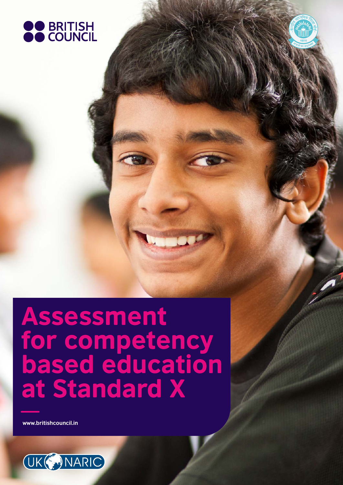

Assessment for competency based education at Standard X

**www.britishcouncil.in**

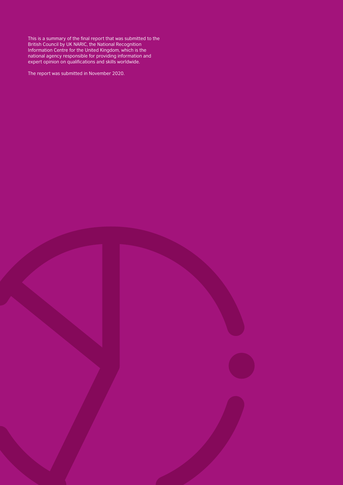This is a summary of the final report that was submitted to the British Council by UK NARIC, the National Recognition Information Centre for the United Kingdom, which is the national agency responsible for providing information and expert opinion on qualifications and skills worldwide.

The report was submitted in November 2020.

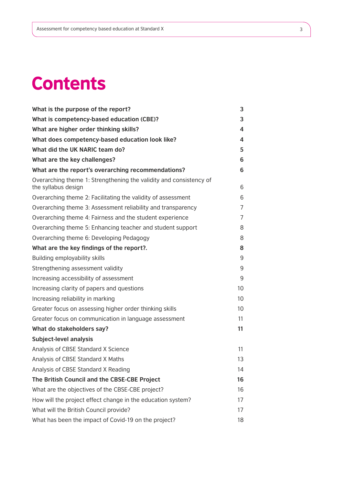# **Contents**

| What is the purpose of the report?                                                        | 3  |
|-------------------------------------------------------------------------------------------|----|
| What is competency-based education (CBE)?                                                 | 3  |
| What are higher order thinking skills?                                                    | 4  |
| What does competency-based education look like?                                           | 4  |
| What did the UK NARIC team do?                                                            | 5  |
| What are the key challenges?                                                              | 6  |
| What are the report's overarching recommendations?                                        | 6  |
| Overarching theme 1: Strengthening the validity and consistency of<br>the syllabus design | 6  |
| Overarching theme 2: Facilitating the validity of assessment                              | 6  |
| Overarching theme 3: Assessment reliability and transparency                              | 7  |
| Overarching theme 4: Fairness and the student experience                                  | 7  |
| Overarching theme 5: Enhancing teacher and student support                                | 8  |
| Overarching theme 6: Developing Pedagogy                                                  | 8  |
| What are the key findings of the report?.                                                 | 8  |
| Building employability skills                                                             | 9  |
| Strengthening assessment validity                                                         | 9  |
| Increasing accessibility of assessment                                                    | 9  |
| Increasing clarity of papers and questions                                                | 10 |
| Increasing reliability in marking                                                         | 10 |
| Greater focus on assessing higher order thinking skills                                   | 10 |
| Greater focus on communication in language assessment                                     | 11 |
| What do stakeholders say?                                                                 | 11 |
| <b>Subject-level analysis</b>                                                             |    |
| Analysis of CBSE Standard X Science                                                       | 11 |
| Analysis of CBSE Standard X Maths                                                         | 13 |
| Analysis of CBSE Standard X Reading                                                       | 14 |
| The British Council and the CBSE-CBE Project                                              | 16 |
| What are the objectives of the CBSE-CBE project?                                          | 16 |
| How will the project effect change in the education system?                               | 17 |
| What will the British Council provide?                                                    | 17 |
| What has been the impact of Covid-19 on the project?                                      | 18 |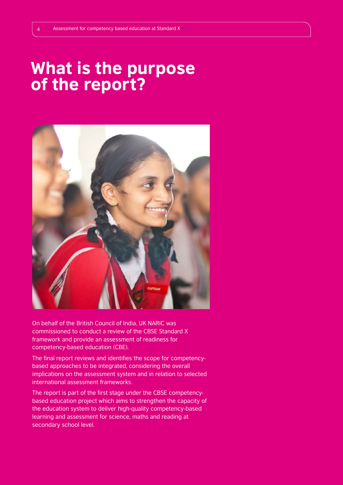# What is the purpose of the report?



On behalf of the British Council of India, UK NARIC was commissioned to conduct a review of the CBSE Standard X framework and provide an assessment of readiness for competency-based education (CBE).

The final report reviews and identifies the scope for competencybased approaches to be integrated, considering the overall implications on the assessment system and in relation to selected international assessment frameworks.

The report is part of the first stage under the CBSE competencybased education project which aims to strengthen the capacity of the education system to deliver high-quality competency-based learning and assessment for science, maths and reading at secondary school level.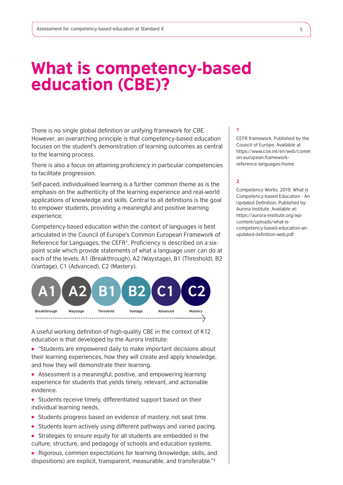# What is competency-based education (CBE)?

There is no single global definition or unifying framework for CBE. However, an overarching principle is that competency-based education focuses on the student's demonstration of learning outcomes as central to the learning process.

There is also a focus on attaining proficiency in particular competencies to facilitate progression.

Self-paced, individualised learning is a further common theme as is the emphasis on the authenticity of the learning experience and real-world applications of knowledge and skills. Central to all definitions is the goal to empower students, providing a meaningful and positive learning experience.

Competency-based education within the context of languages is best articulated in the Council of Europe's Common European Framework of Reference for Languages, the CEFR<sup>1</sup>. Proficiency is described on a sixpoint scale which provide statements of what a language user can do at each of the levels: A1 (Breakthrough), A2 (Waystage), B1 (Threshold), B2 (Vantage), C1 (Advanced), C2 (Mastery).



A useful working definition of high-quality CBE in the context of K12 education is that developed by the Aurora Institute:

"Students are empowered daily to make important decisions about their learning experiences, how they will create and apply knowledge, and how they will demonstrate their learning.

Assessment is a meaningful, positive, and empowering learning experience for students that yields timely, relevant, and actionable evidence.

- Students receive timely, differentiated support based on their individual learning needs.
- Students progress based on evidence of mastery, not seat time.
- Students learn actively using different pathways and varied pacing.
- Strategies to ensure equity for all students are embedded in the culture, structure, and pedagogy of schools and education systems.
- Rigorous, common expectations for learning (knowledge, skills, and dispositions) are explicit, transparent, measurable, and transferable."²

#### **1**

CEFR framework. Published by the Council of Europe. Available at https://www.coe.int/en/web/comm on-european-frameworkreference-languages/home

### **2**

Competency Works, 2019. What is Competency-based Education - An Updated Definition. Published by: Aurora Institute. Available at: https://aurora-institute.org/wpcontent/uploads/what-iscompetency-based-education-anupdated-definition-web.pdf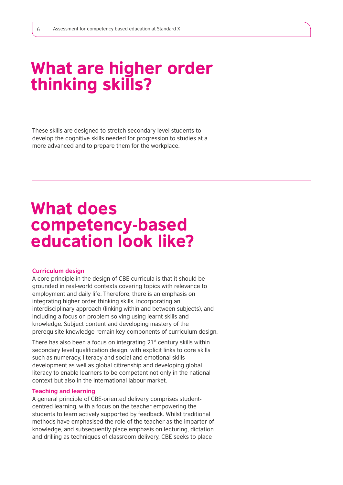# What are higher order thinking skills?

These skills are designed to stretch secondary level students to develop the cognitive skills needed for progression to studies at a more advanced and to prepare them for the workplace.

# What does competency-based education look like?

#### **Curriculum design**

A core principle in the design of CBE curricula is that it should be grounded in real-world contexts covering topics with relevance to employment and daily life. Therefore, there is an emphasis on integrating higher order thinking skills, incorporating an interdisciplinary approach (linking within and between subjects), and including a focus on problem solving using learnt skills and knowledge. Subject content and developing mastery of the prerequisite knowledge remain key components of curriculum design.

There has also been a focus on integrating  $21<sup>st</sup>$  century skills within secondary level qualification design, with explicit links to core skills such as numeracy, literacy and social and emotional skills development as well as global citizenship and developing global literacy to enable learners to be competent not only in the national context but also in the international labour market.

### **Teaching and learning**

A general principle of CBE-oriented delivery comprises studentcentred learning, with a focus on the teacher empowering the students to learn actively supported by feedback. Whilst traditional methods have emphasised the role of the teacher as the imparter of knowledge, and subsequently place emphasis on lecturing, dictation and drilling as techniques of classroom delivery, CBE seeks to place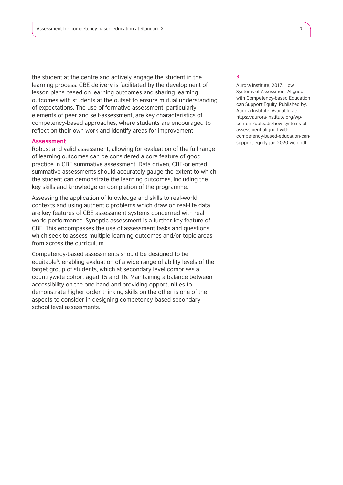the student at the centre and actively engage the student in the learning process. CBE delivery is facilitated by the development of lesson plans based on learning outcomes and sharing learning outcomes with students at the outset to ensure mutual understanding of expectations. The use of formative assessment, particularly elements of peer and self-assessment, are key characteristics of competency-based approaches, where students are encouraged to reflect on their own work and identify areas for improvement

#### **Assessment**

Robust and valid assessment, allowing for evaluation of the full range of learning outcomes can be considered a core feature of good practice in CBE summative assessment. Data driven, CBE-oriented summative assessments should accurately gauge the extent to which the student can demonstrate the learning outcomes, including the key skills and knowledge on completion of the programme.

Assessing the application of knowledge and skills to real-world contexts and using authentic problems which draw on real-life data are key features of CBE assessment systems concerned with real world performance. Synoptic assessment is a further key feature of CBE. This encompasses the use of assessment tasks and questions which seek to assess multiple learning outcomes and/or topic areas from across the curriculum.

Competency-based assessments should be designed to be equitable<sup>3</sup>, enabling evaluation of a wide range of ability levels of the target group of students, which at secondary level comprises a countrywide cohort aged 15 and 16. Maintaining a balance between accessibility on the one hand and providing opportunities to demonstrate higher order thinking skills on the other is one of the aspects to consider in designing competency-based secondary school level assessments.

#### **3**

Aurora Institute, 2017. How Systems of Assessment Aligned with Competency-based Education can Support Equity. Published by: Aurora Institute. Available at: https://aurora-institute.org/wpcontent/uploads/how-systems-ofassessment-aligned-withcompetency-based-education-cansupport-equity-jan-2020-web.pdf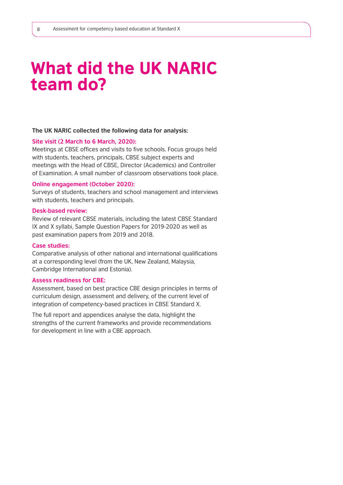# What did the UK NARIC team do?

#### **The UK NARIC collected the following data for analysis:**

### **Site visit (2 March to 6 March, 2020):**

Meetings at CBSE offices and visits to five schools. Focus groups held with students, teachers, principals, CBSE subject experts and meetings with the Head of CBSE, Director (Academics) and Controller of Examination. A small number of classroom observations took place.

#### **Online engagement (October 2020):**

Surveys of students, teachers and school management and interviews with students, teachers and principals.

### **Desk-based review:**

Review of relevant CBSE materials, including the latest CBSE Standard IX and X syllabi, Sample Question Papers for 2019-2020 as well as past examination papers from 2019 and 2018.

#### **Case studies:**

Comparative analysis of other national and international qualifications at a corresponding level (from the UK, New Zealand, Malaysia, Cambridge International and Estonia).

### **Assess readiness for CBE:**

Assessment, based on best practice CBE design principles in terms of curriculum design, assessment and delivery, of the current level of integration of competency-based practices in CBSE Standard X.

The full report and appendices analyse the data, highlight the strengths of the current frameworks and provide recommendations for development in line with a CBE approach.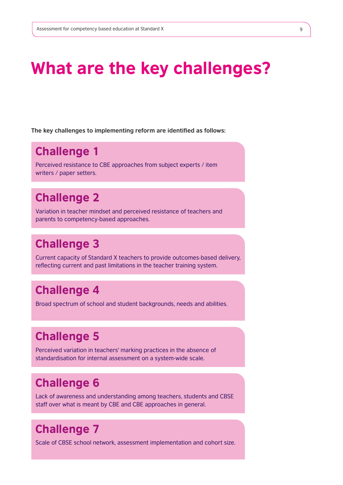# What are the key challenges?

**The key challenges to implementing reform are identified as follows:** 

# Challenge 1

Perceived resistance to CBE approaches from subject experts / item writers / paper setters.

# Challenge 2

Variation in teacher mindset and perceived resistance of teachers and parents to competency-based approaches.

# Challenge 3

Current capacity of Standard X teachers to provide outcomes-based delivery, reflecting current and past limitations in the teacher training system.

# Challenge 4

Broad spectrum of school and student backgrounds, needs and abilities.

# Challenge 5

Perceived variation in teachers' marking practices in the absence of standardisation for internal assessment on a system-wide scale.

# Challenge 6

Lack of awareness and understanding among teachers, students and CBSE staff over what is meant by CBE and CBE approaches in general.

# Challenge 7

Scale of CBSE school network, assessment implementation and cohort size.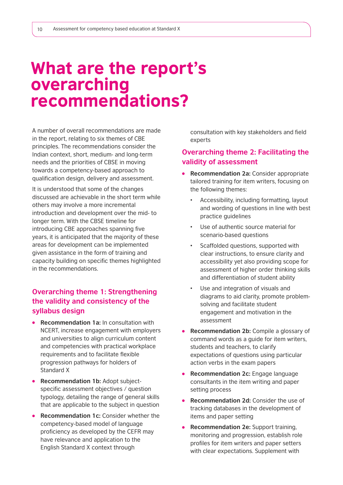# What are the report's overarching recommendations?

A number of overall recommendations are made in the report, relating to six themes of CBE principles. The recommendations consider the Indian context, short, medium- and long-term needs and the priorities of CBSE in moving towards a competency-based approach to qualification design, delivery and assessment.

It is understood that some of the changes discussed are achievable in the short term while others may involve a more incremental introduction and development over the mid- to longer term. With the CBSE timeline for introducing CBE approaches spanning five years, it is anticipated that the majority of these areas for development can be implemented given assistance in the form of training and capacity building on specific themes highlighted in the recommendations.

# **Overarching theme 1: Strengthening the validity and consistency of the syllabus design**

- **Recommendation 1a:** In consultation with NCERT, increase engagement with employers and universities to align curriculum content and competencies with practical workplace requirements and to facilitate flexible progression pathways for holders of Standard X
- **Recommendation 1b:** Adopt subjectspecific assessment objectives / question typology, detailing the range of general skills that are applicable to the subject in question
- **Recommendation 1c:** Consider whether the competency-based model of language proficiency as developed by the CEFR may have relevance and application to the English Standard X context through

consultation with key stakeholders and field experts

# **Overarching theme 2: Facilitating the validity of assessment**

- **Recommendation 2a:** Consider appropriate tailored training for item writers, focusing on the following themes:
	- Accessibility, including formatting, layout and wording of questions in line with best practice guidelines
	- Use of authentic source material for scenario-based questions
	- Scaffolded questions, supported with clear instructions, to ensure clarity and accessibility yet also providing scope for assessment of higher order thinking skills and differentiation of student ability
	- Use and integration of visuals and diagrams to aid clarity, promote problemsolving and facilitate student engagement and motivation in the assessment
- **Recommendation 2b:** Compile a glossary of command words as a guide for item writers, students and teachers, to clarify expectations of questions using particular action verbs in the exam papers
- **Recommendation 2c:** Engage language consultants in the item writing and paper setting process
- **Recommendation 2d:** Consider the use of tracking databases in the development of items and paper setting
- **Recommendation 2e:** Support training, monitoring and progression, establish role profiles for item writers and paper setters with clear expectations. Supplement with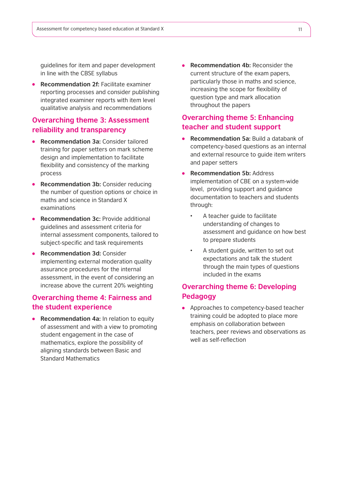guidelines for item and paper development in line with the CBSE syllabus

**• Recommendation 2f: Facilitate examiner** reporting processes and consider publishing integrated examiner reports with item level qualitative analysis and recommendations

# **Overarching theme 3: Assessment reliability and transparency**

- **Recommendation 3a:** Consider tailored training for paper setters on mark scheme design and implementation to facilitate flexibility and consistency of the marking process
- **Recommendation 3b:** Consider reducing the number of question options or choice in maths and science in Standard X examinations
- **Recommendation 3c: Provide additional** guidelines and assessment criteria for internal assessment components, tailored to subject-specific and task requirements
- **Recommendation 3d:** Consider implementing external moderation quality assurance procedures for the internal assessment, in the event of considering an increase above the current 20% weighting

## **Overarching theme 4: Fairness and the student experience**

**Recommendation 4a:** In relation to equity of assessment and with a view to promoting student engagement in the case of mathematics, explore the possibility of aligning standards between Basic and Standard Mathematics

**Recommendation 4b:** Reconsider the current structure of the exam papers, particularly those in maths and science, increasing the scope for flexibility of question type and mark allocation throughout the papers

## **Overarching theme 5: Enhancing teacher and student support**

- **Recommendation 5a:** Build a databank of competency-based questions as an internal and external resource to guide item writers and paper setters
- **Recommendation 5b:** Address implementation of CBE on a system-wide level, providing support and guidance documentation to teachers and students through:
	- A teacher guide to facilitate understanding of changes to assessment and guidance on how best to prepare students
	- A student guide, written to set out expectations and talk the student through the main types of questions included in the exams

# **Overarching theme 6: Developing Pedagogy**

• Approaches to competency-based teacher training could be adopted to place more emphasis on collaboration between teachers, peer reviews and observations as well as self-reflection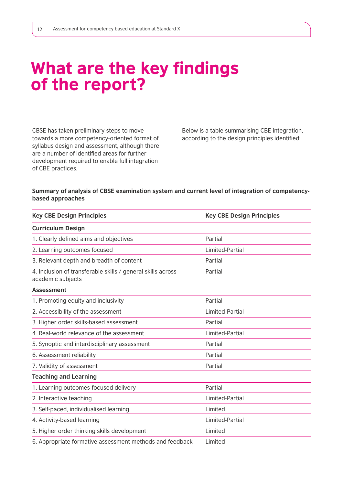# What are the key findings of the report?

CBSE has taken preliminary steps to move towards a more competency-oriented format of syllabus design and assessment, although there are a number of identified areas for further development required to enable full integration of CBE practices.

Below is a table summarising CBE integration, according to the design principles identified:

### **Summary of analysis of CBSE examination system and current level of integration of competencybased approaches**

| <b>Key CBE Design Principles</b>                                                 | <b>Key CBE Design Principles</b> |
|----------------------------------------------------------------------------------|----------------------------------|
| <b>Curriculum Design</b>                                                         |                                  |
| 1. Clearly defined aims and objectives                                           | Partial                          |
| 2. Learning outcomes focused                                                     | Limited-Partial                  |
| 3. Relevant depth and breadth of content                                         | Partial                          |
| 4. Inclusion of transferable skills / general skills across<br>academic subjects | Partial                          |
| <b>Assessment</b>                                                                |                                  |
| 1. Promoting equity and inclusivity                                              | Partial                          |
| 2. Accessibility of the assessment                                               | Limited-Partial                  |
| 3. Higher order skills-based assessment                                          | Partial                          |
| 4. Real-world relevance of the assessment                                        | Limited-Partial                  |
| 5. Synoptic and interdisciplinary assessment                                     | Partial                          |
| 6. Assessment reliability                                                        | Partial                          |
| 7. Validity of assessment                                                        | Partial                          |
| <b>Teaching and Learning</b>                                                     |                                  |
| 1. Learning outcomes-focused delivery                                            | Partial                          |
| 2. Interactive teaching                                                          | Limited-Partial                  |
| 3. Self-paced, individualised learning                                           | Limited                          |
| 4. Activity-based learning                                                       | Limited-Partial                  |
| 5. Higher order thinking skills development                                      | Limited                          |
| 6. Appropriate formative assessment methods and feedback                         | Limited                          |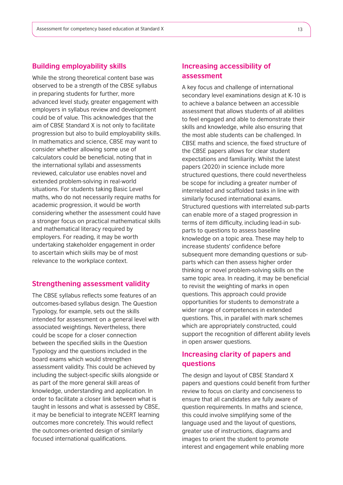## **Building employability skills**

While the strong theoretical content base was observed to be a strength of the CBSE syllabus in preparing students for further, more advanced level study, greater engagement with employers in syllabus review and development could be of value. This acknowledges that the aim of CBSE Standard X is not only to facilitate progression but also to build employability skills. In mathematics and science, CBSE may want to consider whether allowing some use of calculators could be beneficial, noting that in the international syllabi and assessments reviewed, calculator use enables novel and extended problem-solving in real-world situations. For students taking Basic Level maths, who do not necessarily require maths for academic progression, it would be worth considering whether the assessment could have a stronger focus on practical mathematical skills and mathematical literacy required by employers. For reading, it may be worth undertaking stakeholder engagement in order to ascertain which skills may be of most relevance to the workplace context.

### **Strengthening assessment validity**

The CBSE syllabus reflects some features of an outcomes-based syllabus design. The Question Typology, for example, sets out the skills intended for assessment on a general level with associated weightings. Nevertheless, there could be scope for a closer connection between the specified skills in the Question Typology and the questions included in the board exams which would strengthen assessment validity. This could be achieved by including the subject-specific skills alongside or as part of the more general skill areas of knowledge, understanding and application. In order to facilitate a closer link between what is taught in lessons and what is assessed by CBSE, it may be beneficial to integrate NCERT learning outcomes more concretely. This would reflect the outcomes-oriented design of similarly focused international qualifications.

# **Increasing accessibility of assessment**

A key focus and challenge of international secondary level examinations design at K-10 is to achieve a balance between an accessible assessment that allows students of all abilities to feel engaged and able to demonstrate their skills and knowledge, while also ensuring that the most able students can be challenged. In CBSE maths and science, the fixed structure of the CBSE papers allows for clear student expectations and familiarity. Whilst the latest papers (2020) in science include more structured questions, there could nevertheless be scope for including a greater number of interrelated and scaffolded tasks in line with similarly focused international exams. Structured questions with interrelated sub-parts can enable more of a staged progression in terms of item difficulty, including lead-in subparts to questions to assess baseline knowledge on a topic area. These may help to increase students' confidence before subsequent more demanding questions or subparts which can then assess higher order thinking or novel problem-solving skills on the same topic area. In reading, it may be beneficial to revisit the weighting of marks in open questions. This approach could provide opportunities for students to demonstrate a wider range of competences in extended questions. This, in parallel with mark schemes which are appropriately constructed, could support the recognition of different ability levels in open answer questions.

# **Increasing clarity of papers and questions**

The design and layout of CBSE Standard X papers and questions could benefit from further review to focus on clarity and conciseness to ensure that all candidates are fully aware of question requirements. In maths and science, this could involve simplifying some of the language used and the layout of questions, greater use of instructions, diagrams and images to orient the student to promote interest and engagement while enabling more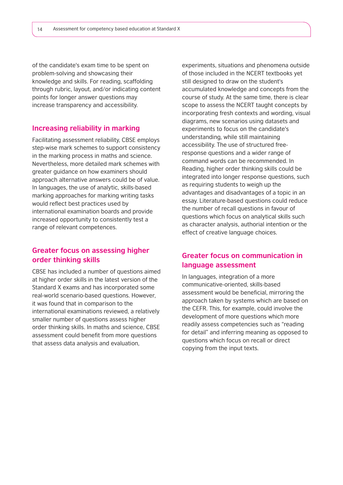of the candidate's exam time to be spent on problem-solving and showcasing their knowledge and skills. For reading, scaffolding through rubric, layout, and/or indicating content points for longer answer questions may increase transparency and accessibility.

### **Increasing reliability in marking**

Facilitating assessment reliability, CBSE employs step-wise mark schemes to support consistency in the marking process in maths and science. Nevertheless, more detailed mark schemes with greater guidance on how examiners should approach alternative answers could be of value. In languages, the use of analytic, skills-based marking approaches for marking writing tasks would reflect best practices used by international examination boards and provide increased opportunity to consistently test a range of relevant competences.

# **Greater focus on assessing higher order thinking skills**

CBSE has included a number of questions aimed at higher order skills in the latest version of the Standard X exams and has incorporated some real-world scenario-based questions. However, it was found that in comparison to the international examinations reviewed, a relatively smaller number of questions assess higher order thinking skills. In maths and science, CBSE assessment could benefit from more questions that assess data analysis and evaluation,

experiments, situations and phenomena outside of those included in the NCERT textbooks yet still designed to draw on the student's accumulated knowledge and concepts from the course of study. At the same time, there is clear scope to assess the NCERT taught concepts by incorporating fresh contexts and wording, visual diagrams, new scenarios using datasets and experiments to focus on the candidate's understanding, while still maintaining accessibility. The use of structured freeresponse questions and a wider range of command words can be recommended. In Reading, higher order thinking skills could be integrated into longer response questions, such as requiring students to weigh up the advantages and disadvantages of a topic in an essay. Literature-based questions could reduce the number of recall questions in favour of questions which focus on analytical skills such as character analysis, authorial intention or the effect of creative language choices.

# **Greater focus on communication in language assessment**

In languages, integration of a more communicative-oriented, skills-based assessment would be beneficial, mirroring the approach taken by systems which are based on the CEFR. This, for example, could involve the development of more questions which more readily assess competencies such as "reading for detail" and inferring meaning as opposed to questions which focus on recall or direct copying from the input texts.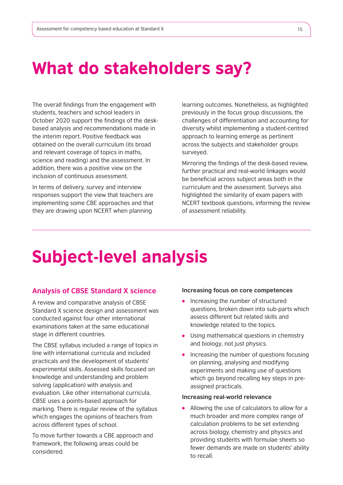# What do stakeholders say?

The overall findings from the engagement with students, teachers and school leaders in October 2020 support the findings of the deskbased analysis and recommendations made in the interim report. Positive feedback was obtained on the overall curriculum (its broad and relevant coverage of topics in maths, science and reading) and the assessment. In addition, there was a positive view on the inclusion of continuous assessment.

In terms of delivery, survey and interview responses support the view that teachers are implementing some CBE approaches and that they are drawing upon NCERT when planning

learning outcomes. Nonetheless, as highlighted previously in the focus group discussions, the challenges of differentiation and accounting for diversity whilst implementing a student-centred approach to learning emerge as pertinent across the subjects and stakeholder groups surveyed.

Mirroring the findings of the desk-based review, further practical and real-world linkages would be beneficial across subject areas both in the curriculum and the assessment. Surveys also highlighted the similarity of exam papers with NCERT textbook questions, informing the review of assessment reliability.

# Subject-level analysis

### **Analysis of CBSE Standard X science**

A review and comparative analysis of CBSE Standard X science design and assessment was conducted against four other international examinations taken at the same educational stage in different countries.

The CBSE syllabus included a range of topics in line with international curricula and included practicals and the development of students' experimental skills. Assessed skills focused on knowledge and understanding and problem solving (application) with analysis and evaluation. Like other international curricula, CBSE uses a points-based approach for marking. There is regular review of the syllabus which engages the opinions of teachers from across different types of school.

To move further towards a CBE approach and framework, the following areas could be considered:

#### **Increasing focus on core competences**

- Increasing the number of structured questions, broken down into sub-parts which assess different but related skills and knowledge related to the topics.
- Using mathematical questions in chemistry and biology, not just physics.
- Increasing the number of questions focusing on planning, analysing and modifying experiments and making use of questions which go beyond recalling key steps in preassigned practicals.

#### **Increasing real-world relevance**

Allowing the use of calculators to allow for a much broader and more complex range of calculation problems to be set extending across biology, chemistry and physics and providing students with formulae sheets so fewer demands are made on students' ability to recall.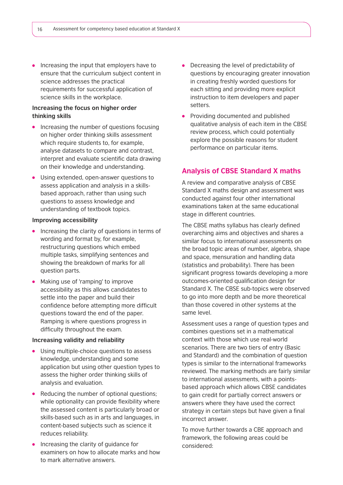• Increasing the input that employers have to ensure that the curriculum subject content in science addresses the practical requirements for successful application of science skills in the workplace.

### **Increasing the focus on higher order thinking skills**

- Increasing the number of questions focusing on higher order thinking skills assessment which require students to, for example, analyse datasets to compare and contrast, interpret and evaluate scientific data drawing on their knowledge and understanding.
- Using extended, open-answer questions to assess application and analysis in a skillsbased approach, rather than using such questions to assess knowledge and understanding of textbook topics.

#### **Improving accessibility**

- Increasing the clarity of questions in terms of wording and format by, for example, restructuring questions which embed multiple tasks, simplifying sentences and showing the breakdown of marks for all question parts.
- Making use of 'ramping' to improve accessibility as this allows candidates to settle into the paper and build their confidence before attempting more difficult questions toward the end of the paper. Ramping is where questions progress in difficulty throughout the exam.

### **Increasing validity and reliability**

- Using multiple-choice questions to assess knowledge, understanding and some application but using other question types to assess the higher order thinking skills of analysis and evaluation.
- Reducing the number of optional questions; while optionality can provide flexibility where the assessed content is particularly broad or skills-based such as in arts and languages, in content-based subjects such as science it reduces reliability.
- Increasing the clarity of guidance for examiners on how to allocate marks and how to mark alternative answers.
- Decreasing the level of predictability of questions by encouraging greater innovation in creating freshly worded questions for each sitting and providing more explicit instruction to item developers and paper setters.
- Providing documented and published qualitative analysis of each item in the CBSE review process, which could potentially explore the possible reasons for student performance on particular items.

## **Analysis of CBSE Standard X maths**

A review and comparative analysis of CBSE Standard X maths design and assessment was conducted against four other international examinations taken at the same educational stage in different countries.

The CBSE maths syllabus has clearly defined overarching aims and objectives and shares a similar focus to international assessments on the broad topic areas of number, algebra, shape and space, mensuration and handling data (statistics and probability). There has been significant progress towards developing a more outcomes-oriented qualification design for Standard X. The CBSE sub-topics were observed to go into more depth and be more theoretical than those covered in other systems at the same level.

Assessment uses a range of question types and combines questions set in a mathematical context with those which use real-world scenarios. There are two tiers of entry (Basic and Standard) and the combination of question types is similar to the international frameworks reviewed. The marking methods are fairly similar to international assessments, with a pointsbased approach which allows CBSE candidates to gain credit for partially correct answers or answers where they have used the correct strategy in certain steps but have given a final incorrect answer.

To move further towards a CBE approach and framework, the following areas could be considered: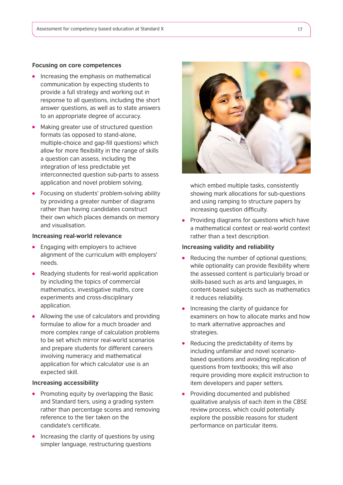#### **Focusing on core competences**

- Increasing the emphasis on mathematical communication by expecting students to provide a full strategy and working out in response to all questions, including the short answer questions, as well as to state answers to an appropriate degree of accuracy.
- Making greater use of structured question formats (as opposed to stand-alone, multiple-choice and gap-fill questions) which allow for more flexibility in the range of skills a question can assess, including the integration of less predictable yet interconnected question sub-parts to assess application and novel problem solving.
- Focusing on students' problem-solving ability by providing a greater number of diagrams rather than having candidates construct their own which places demands on memory and visualisation.

### **Increasing real-world relevance**

- Engaging with employers to achieve alignment of the curriculum with employers' needs.
- Readying students for real-world application by including the topics of commercial mathematics, investigative maths, core experiments and cross-disciplinary application.
- Allowing the use of calculators and providing formulae to allow for a much broader and more complex range of calculation problems to be set which mirror real-world scenarios and prepare students for different careers involving numeracy and mathematical application for which calculator use is an expected skill.

#### **Increasing accessibility**

- Promoting equity by overlapping the Basic and Standard tiers, using a grading system rather than percentage scores and removing reference to the tier taken on the candidate's certificate.
- $\bullet$  Increasing the clarity of questions by using simpler language, restructuring questions



which embed multiple tasks, consistently showing mark allocations for sub-questions and using ramping to structure papers by increasing question difficulty.

Providing diagrams for questions which have a mathematical context or real-world context rather than a text description.

#### **Increasing validity and reliability**

- Reducing the number of optional questions; while optionality can provide flexibility where the assessed content is particularly broad or skills-based such as arts and languages, in content-based subjects such as mathematics it reduces reliability.
- Increasing the clarity of guidance for examiners on how to allocate marks and how to mark alternative approaches and strategies.
- Reducing the predictability of items by including unfamiliar and novel scenariobased questions and avoiding replication of questions from textbooks; this will also require providing more explicit instruction to item developers and paper setters.
- $\bullet$ Providing documented and published qualitative analysis of each item in the CBSE review process, which could potentially explore the possible reasons for student performance on particular items.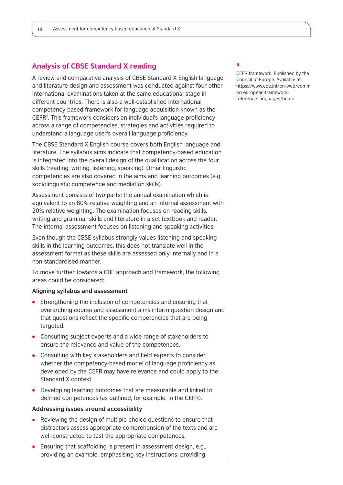## **Analysis of CBSE Standard X reading**

A review and comparative analysis of CBSE Standard X English language and literature design and assessment was conducted against four other international examinations taken at the same educational stage in different countries. There is also a well-established international competency-based framework for language acquisition known as the CEFR<sup>4</sup>. This framework considers an individual's language proficiency across a range of competencies, strategies and activities required to understand a language user's overall language proficiency.

The CBSE Standard X English course covers both English language and literature. The syllabus aims indicate that competency-based education is integrated into the overall design of the qualification across the four skills (reading, writing, listening, speaking). Other linguistic competencies are also covered in the aims and learning outcomes (e.g. sociolinguistic competence and mediation skills).

Assessment consists of two parts: the annual examination which is equivalent to an 80% relative weighting and an internal assessment with 20% relative weighting. The examination focuses on reading skills, writing and grammar skills and literature in a set textbook and reader. The internal assessment focuses on listening and speaking activities.

Even though the CBSE syllabus strongly values listening and speaking skills in the learning outcomes, this does not translate well in the assessment format as these skills are assessed only internally and in a non-standardised manner.

To move further towards a CBE approach and framework, the following areas could be considered:

#### **Aligning syllabus and assessment**

- Strengthening the inclusion of competencies and ensuring that overarching course and assessment aims inform question design and that questions reflect the specific competencies that are being targeted.
- Consulting subject experts and a wide range of stakeholders to ensure the relevance and value of the competences.
- Consulting with key stakeholders and field experts to consider whether the competency-based model of language proficiency as developed by the CEFR may have relevance and could apply to the Standard X context.
- Developing learning outcomes that are measurable and linked to defined competences (as outlined, for example, in the CEFR).

#### **Addressing issues around accessibility**

- Reviewing the design of multiple-choice questions to ensure that distractors assess appropriate comprehension of the texts and are well-constructed to test the appropriate competences.
- Ensuring that scaffolding is present in assessment design, e.g., providing an example, emphasising key instructions, providing

#### **4**

CEFR framework. Published by the Council of Europe. Available at https://www.coe.int/en/web/comm on-european-frameworkreference-languages/home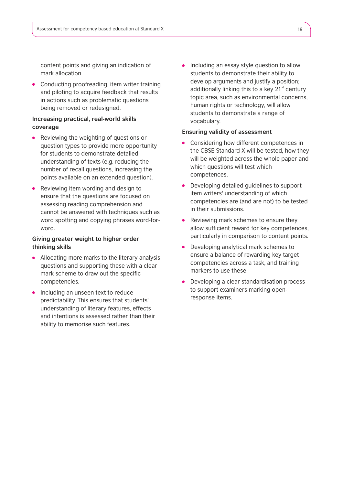content points and giving an indication of mark allocation.

• Conducting proofreading, item writer training and piloting to acquire feedback that results in actions such as problematic questions being removed or redesigned.

### **Increasing practical, real-world skills coverage**

- Reviewing the weighting of questions or question types to provide more opportunity for students to demonstrate detailed understanding of texts (e.g. reducing the number of recall questions, increasing the points available on an extended question).
- Reviewing item wording and design to ensure that the questions are focused on assessing reading comprehension and cannot be answered with techniques such as word spotting and copying phrases word-forword.

### **Giving greater weight to higher order thinking skills**

- Allocating more marks to the literary analysis questions and supporting these with a clear mark scheme to draw out the specific competencies.
- Including an unseen text to reduce predictability. This ensures that students' understanding of literary features, effects and intentions is assessed rather than their ability to memorise such features.

• Including an essay style question to allow students to demonstrate their ability to develop arguments and justify a position; additionally linking this to a key  $21<sup>st</sup>$  century topic area, such as environmental concerns, human rights or technology, will allow students to demonstrate a range of vocabulary.

### **Ensuring validity of assessment**

- Considering how different competences in the CBSE Standard X will be tested, how they will be weighted across the whole paper and which questions will test which competences.
- Developing detailed guidelines to support item writers' understanding of which competencies are (and are not) to be tested in their submissions.
- Reviewing mark schemes to ensure they  $\bullet$ allow sufficient reward for key competences, particularly in comparison to content points.
- Developing analytical mark schemes to ensure a balance of rewarding key target competencies across a task, and training markers to use these.
- Developing a clear standardisation process to support examiners marking openresponse items.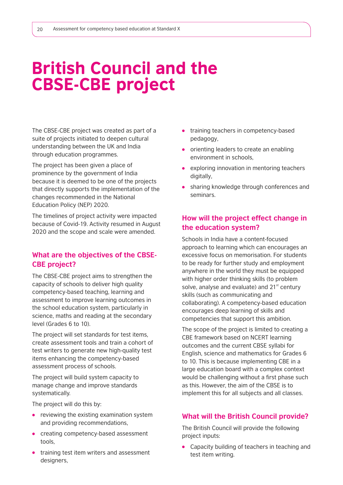# British Council and the CBSE-CBE project

The CBSE-CBE project was created as part of a suite of projects initiated to deepen cultural understanding between the UK and India through education programmes.

The project has been given a place of prominence by the government of India because it is deemed to be one of the projects that directly supports the implementation of the changes recommended in the National Education Policy (NEP) 2020.

The timelines of project activity were impacted because of Covid-19. Activity resumed in August 2020 and the scope and scale were amended.

# **What are the objectives of the CBSE-CBE project?**

The CBSE-CBE project aims to strengthen the capacity of schools to deliver high quality competency-based teaching, learning and assessment to improve learning outcomes in the school education system, particularly in science, maths and reading at the secondary level (Grades 6 to 10).

The project will set standards for test items, create assessment tools and train a cohort of test writers to generate new high-quality test items enhancing the competency-based assessment process of schools.

The project will build system capacity to manage change and improve standards systematically.

The project will do this by:

- reviewing the existing examination system and providing recommendations,
- creating competency-based assessment tools,
- **•** training test item writers and assessment designers,
- **•** training teachers in competency-based pedagogy,
- **•** orienting leaders to create an enabling environment in schools,
- exploring innovation in mentoring teachers digitally,
- sharing knowledge through conferences and seminars.

# **How will the project effect change in the education system?**

Schools in India have a content-focused approach to learning which can encourages an excessive focus on memorisation. For students to be ready for further study and employment anywhere in the world they must be equipped with higher order thinking skills (to problem solve, analyse and evaluate) and  $21<sup>st</sup>$  century skills (such as communicating and collaborating). A competency-based education encourages deep learning of skills and competencies that support this ambition.

The scope of the project is limited to creating a CBE framework based on NCERT learning outcomes and the current CBSE syllabi for English, science and mathematics for Grades 6 to 10. This is because implementing CBE in a large education board with a complex context would be challenging without a first phase such as this. However, the aim of the CBSE is to implement this for all subjects and all classes.

# **What will the British Council provide?**

The British Council will provide the following project inputs:

Capacity building of teachers in teaching and test item writing.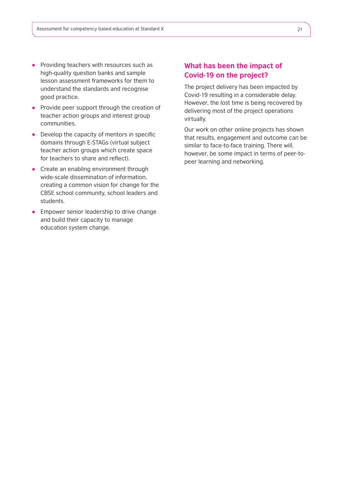- Providing teachers with resources such as high-quality question banks and sample lesson assessment frameworks for them to understand the standards and recognise good practice.
- Provide peer support through the creation of teacher action groups and interest group communities.
- Develop the capacity of mentors in specific domains through E-STAGs (virtual subject teacher action groups which create space for teachers to share and reflect).
- Create an enabling environment through wide-scale dissemination of information, creating a common vision for change for the CBSE school community, school leaders and students.
- **Empower senior leadership to drive change** and build their capacity to manage education system change.

# **What has been the impact of Covid-19 on the project?**

The project delivery has been impacted by Covid-19 resulting in a considerable delay. However, the lost time is being recovered by delivering most of the project operations virtually.

Our work on other online projects has shown that results, engagement and outcome can be similar to face-to-face training. There will, however, be some impact in terms of peer-topeer learning and networking.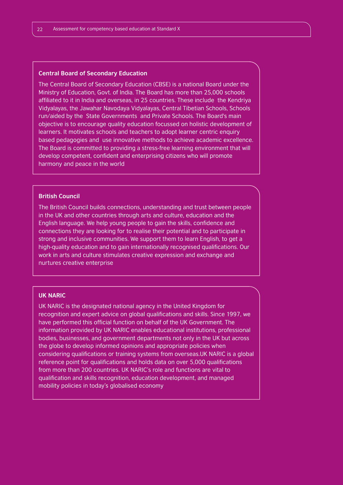#### **Central Board of Secondary Education**

The Central Board of Secondary Education (CBSE) is a national Board under the Ministry of Education, Govt. of India. The Board has more than 25,000 schools affiliated to it in India and overseas, in 25 countries. These include the Kendriya Vidyalayas, the Jawahar Navodaya Vidyalayas, Central Tibetian Schools, Schools run/aided by the State Governments and Private Schools. The Board's main objective is to encourage quality education focussed on holistic development of learners. It motivates schools and teachers to adopt learner centric enquiry based pedagogies and use innovative methods to achieve academic excellence. The Board is committed to providing a stress-free learning environment that will develop competent, confident and enterprising citizens who will promote harmony and peace in the world

### **British Council**

The British Council builds connections, understanding and trust between people in the UK and other countries through arts and culture, education and the English language. We help young people to gain the skills, confidence and connections they are looking for to realise their potential and to participate in strong and inclusive communities. We support them to learn English, to get a high-quality education and to gain internationally recognised qualifications. Our work in arts and culture stimulates creative expression and exchange and nurtures creative enterprise

#### **UK NARIC**

UK NARIC is the designated national agency in the United Kingdom for recognition and expert advice on global qualifications and skills. Since 1997, we have performed this official function on behalf of the UK Government. The information provided by UK NARIC enables educational institutions, professional bodies, businesses, and government departments not only in the UK but across the globe to develop informed opinions and appropriate policies when considering qualifications or training systems from overseas.UK NARIC is a global reference point for qualifications and holds data on over 5,000 qualifications from more than 200 countries. UK NARIC's role and functions are vital to qualification and skills recognition, education development, and managed mobility policies in today's globalised economy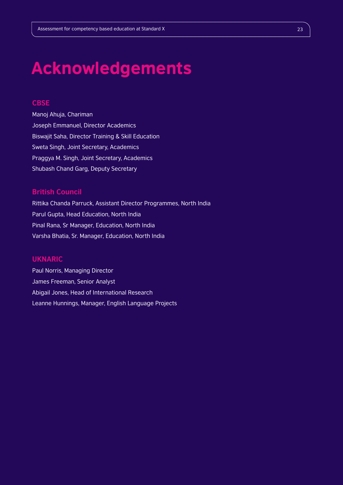# Acknowledgements

## **CBSE**

Manoj Ahuja, Chariman Joseph Emmanuel, Director Academics Biswajit Saha, Director Training & Skill Education Sweta Singh, Joint Secretary, Academics Praggya M. Singh, Joint Secretary, Academics Shubash Chand Garg, Deputy Secretary

## **British Council**

Rittika Chanda Parruck, Assistant Director Programmes, North India Parul Gupta, Head Education, North India Pinal Rana, Sr Manager, Education, North India Varsha Bhatia, Sr. Manager, Education, North India

## **UKNARIC**

Paul Norris, Managing Director James Freeman, Senior Analyst Abigail Jones, Head of International Research Leanne Hunnings, Manager, English Language Projects